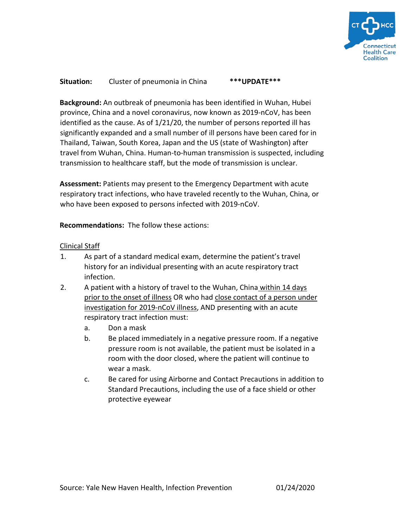

## **Situation:** Cluster of pneumonia in China **\*\*\*UPDATE\*\*\***

**Background:** An outbreak of pneumonia has been identified in Wuhan, Hubei province, China and a novel coronavirus, now known as 2019-nCoV, has been identified as the cause. As of 1/21/20, the number of persons reported ill has significantly expanded and a small number of ill persons have been cared for in Thailand, Taiwan, South Korea, Japan and the US (state of Washington) after travel from Wuhan, China. Human-to-human transmission is suspected, including transmission to healthcare staff, but the mode of transmission is unclear.

**Assessment:** Patients may present to the Emergency Department with acute respiratory tract infections, who have traveled recently to the Wuhan, China, or who have been exposed to persons infected with 2019-nCoV.

**Recommendations:** The follow these actions:

## Clinical Staff

- 1. As part of a standard medical exam, determine the patient's travel history for an individual presenting with an acute respiratory tract infection.
- 2. A patient with a history of travel to the Wuhan, China within 14 days prior to the onset of illness OR who had close contact of a person under investigation for 2019-nCoV illness, AND presenting with an acute respiratory tract infection must:
	- a. Don a mask
	- b. Be placed immediately in a negative pressure room. If a negative pressure room is not available, the patient must be isolated in a room with the door closed, where the patient will continue to wear a mask.
	- c. Be cared for using Airborne and Contact Precautions in addition to Standard Precautions, including the use of a face shield or other protective eyewear